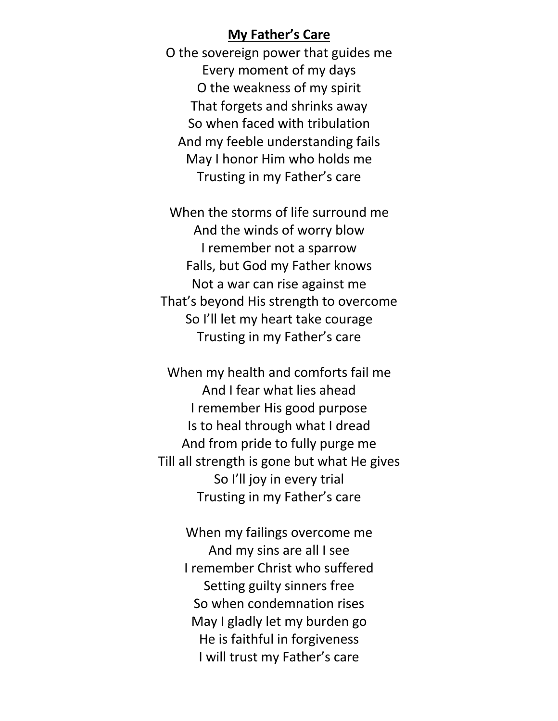## **My Father's Care**

O the sovereign power that guides me Every moment of my days O the weakness of my spirit That forgets and shrinks away So when faced with tribulation And my feeble understanding fails May I honor Him who holds me Trusting in my Father's care

When the storms of life surround me And the winds of worry blow I remember not a sparrow Falls, but God my Father knows Not a war can rise against me That's beyond His strength to overcome So I'll let my heart take courage Trusting in my Father's care

When my health and comforts fail me And I fear what lies ahead I remember His good purpose Is to heal through what I dread And from pride to fully purge me Till all strength is gone but what He gives So I'll joy in every trial Trusting in my Father's care

> When my failings overcome me And my sins are all I see I remember Christ who suffered Setting guilty sinners free So when condemnation rises May I gladly let my burden go He is faithful in forgiveness I will trust my Father's care